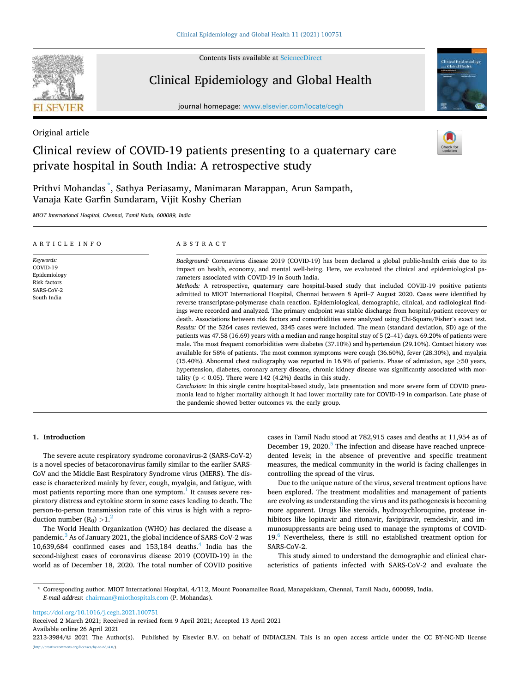

Contents lists available at [ScienceDirect](www.sciencedirect.com/science/journal/22133984)

# Clinical Epidemiology and Global Health

journal homepage: [www.elsevier.com/locate/cegh](https://www.elsevier.com/locate/cegh)



Original article

## Clinical review of COVID-19 patients presenting to a quaternary care private hospital in South India: A retrospective study

Prithvi Mohandas \* , Sathya Periasamy, Manimaran Marappan, Arun Sampath, Vanaja Kate Garfin Sundaram, Vijit Koshy Cherian

*MIOT International Hospital, Chennai, Tamil Nadu, 600089, India* 

| ARTICLE INFO                                                                       | ABSTRACT                                                                                                                                                                                                                                                                                                                                                                                                                                                                                                                                                                                                                                                                                                                                                                                                                                                                                                                                                                                                                                                                                                                                                                                                                                                                                                                                                                                                                                                                                                                                                                                                                                                                                                                                                                                                                                                                                                                         |
|------------------------------------------------------------------------------------|----------------------------------------------------------------------------------------------------------------------------------------------------------------------------------------------------------------------------------------------------------------------------------------------------------------------------------------------------------------------------------------------------------------------------------------------------------------------------------------------------------------------------------------------------------------------------------------------------------------------------------------------------------------------------------------------------------------------------------------------------------------------------------------------------------------------------------------------------------------------------------------------------------------------------------------------------------------------------------------------------------------------------------------------------------------------------------------------------------------------------------------------------------------------------------------------------------------------------------------------------------------------------------------------------------------------------------------------------------------------------------------------------------------------------------------------------------------------------------------------------------------------------------------------------------------------------------------------------------------------------------------------------------------------------------------------------------------------------------------------------------------------------------------------------------------------------------------------------------------------------------------------------------------------------------|
| Keywords:<br>COVID-19<br>Epidemiology<br>Risk factors<br>SARS-CoV-2<br>South India | Background: Coronavirus disease 2019 (COVID-19) has been declared a global public-health crisis due to its<br>impact on health, economy, and mental well-being. Here, we evaluated the clinical and epidemiological pa-<br>rameters associated with COVID-19 in South India.<br>Methods: A retrospective, quaternary care hospital-based study that included COVID-19 positive patients<br>admitted to MIOT International Hospital, Chennai between 8 April-7 August 2020. Cases were identified by<br>reverse transcriptase-polymerase chain reaction. Epidemiological, demographic, clinical, and radiological find-<br>ings were recorded and analyzed. The primary endpoint was stable discharge from hospital/patient recovery or<br>death. Associations between risk factors and comorbidities were analyzed using Chi-Square/Fisher's exact test.<br>Results: Of the 5264 cases reviewed, 3345 cases were included. The mean (standard deviation, SD) age of the<br>patients was 47.58 (16.69) years with a median and range hospital stay of 5 (2–41) days. 69.20% of patients were<br>male. The most frequent comorbidities were diabetes (37.10%) and hypertension (29.10%). Contact history was<br>available for 58% of patients. The most common symptoms were cough (36.60%), fever (28.30%), and myalgia<br>(15.40%). Abnormal chest radiography was reported in 16.9% of patients. Phase of admission, age $\geq$ 50 years,<br>hypertension, diabetes, coronary artery disease, chronic kidney disease was significantly associated with mor-<br>tality ( $p < 0.05$ ). There were 142 (4.2%) deaths in this study.<br>Conclusion: In this single centre hospital-based study, late presentation and more severe form of COVID pneu-<br>monia lead to higher mortality although it had lower mortality rate for COVID-19 in comparison. Late phase of<br>the pandemic showed better outcomes vs. the early group. |

## **1. Introduction**

The severe acute respiratory syndrome coronavirus-2 (SARS-CoV-2) is a novel species of betacoronavirus family similar to the earlier SARS-CoV and the Middle East Respiratory Syndrome virus (MERS). The disease is characterized mainly by fever, cough, myalgia, and fatigue, with most patients reporting more than one symptom.<sup>1</sup> It causes severe respiratory distress and cytokine storm in some cases leading to death. The person-to-person transmission rate of this virus is high with a reproduction number  $(R_0) > 1^2$ 

The World Health Organization (WHO) has declared the disease a pandemic.<sup>3</sup> As of January 2021, the global incidence of SARS-CoV-2 was 10,639,684 confirmed cases and  $153,184$  deaths.<sup>4</sup> India has the second-highest cases of coronavirus disease 2019 (COVID-19) in the world as of December 18, 2020. The total number of COVID positive cases in Tamil Nadu stood at 782,915 cases and deaths at 11,954 as of December 19, 2020.<sup>5</sup> The infection and disease have reached unprecedented levels; in the absence of preventive and specific treatment measures, the medical community in the world is facing challenges in controlling the spread of the virus.

Due to the unique nature of the virus, several treatment options have been explored. The treatment modalities and management of patients are evolving as understanding the virus and its pathogenesis is becoming more apparent. Drugs like steroids, hydroxychloroquine, protease inhibitors like lopinavir and ritonavir, favipiravir, remdesivir, and immunosuppressants are being used to manage the symptoms of COVID-19.<sup>6</sup> Nevertheless, there is still no established treatment option for SARS-CoV-2.

This study aimed to understand the demographic and clinical characteristics of patients infected with SARS-CoV-2 and evaluate the

\* Corresponding author. MIOT International Hospital, 4/112, Mount Poonamallee Road, Manapakkam, Chennai, Tamil Nadu, 600089, India. *E-mail address:* [chairman@miothospitals.com](mailto:chairman@miothospitals.com) (P. Mohandas).

<https://doi.org/10.1016/j.cegh.2021.100751>

Available online 26 April 2021 Received 2 March 2021; Received in revised form 9 April 2021; Accepted 13 April 2021

2213-3984/© 2021 The Author(s). Published by Elsevier B.V. on behalf of INDIACLEN. This is an open access article under the CC BY-NC-ND license [\(http://creativecommons.org/licenses/by-nc-nd/4.0/\)](http://creativecommons.org/licenses/by-nc-nd/4.0/).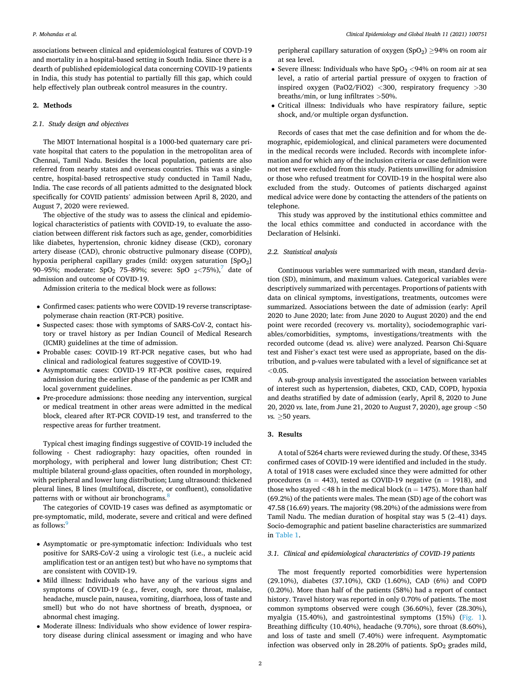associations between clinical and epidemiological features of COVD-19 and mortality in a hospital-based setting in South India. Since there is a dearth of published epidemiological data concerning COVID-19 patients in India, this study has potential to partially fill this gap, which could help effectively plan outbreak control measures in the country.

## **2. Methods**

## *2.1. Study design and objectives*

The MIOT International hospital is a 1000-bed quaternary care private hospital that caters to the population in the metropolitan area of Chennai, Tamil Nadu. Besides the local population, patients are also referred from nearby states and overseas countries. This was a singlecentre, hospital-based retrospective study conducted in Tamil Nadu, India. The case records of all patients admitted to the designated block specifically for COVID patients' admission between April 8, 2020, and August 7, 2020 were reviewed.

The objective of the study was to assess the clinical and epidemiological characteristics of patients with COVID-19, to evaluate the association between different risk factors such as age, gender, comorbidities like diabetes, hypertension, chronic kidney disease (CKD), coronary artery disease (CAD), chronic obstructive pulmonary disease (COPD), hypoxia peripheral capillary grades (mild: oxygen saturation [SpO<sub>2</sub>] 90–95%; moderate: SpO2 75–89%; severe: SpO 2*<*75%),[7 date of](#page-5-0)  admission and outcome of COVID-19.

Admission criteria to the medical block were as follows:

- Confirmed cases: patients who were COVID-19 reverse transcriptasepolymerase chain reaction (RT-PCR) positive.
- Suspected cases: those with symptoms of SARS-CoV-2, contact history or travel history as per Indian Council of Medical Research (ICMR) guidelines at the time of admission.
- Probable cases: COVID-19 RT-PCR negative cases, but who had clinical and radiological features suggestive of COVID-19.
- Asymptomatic cases: COVID-19 RT-PCR positive cases, required admission during the earlier phase of the pandemic as per ICMR and local government guidelines.
- Pre-procedure admissions: those needing any intervention, surgical or medical treatment in other areas were admitted in the medical block, cleared after RT-PCR COVID-19 test, and transferred to the respective areas for further treatment.

Typical chest imaging findings suggestive of COVID-19 included the following - Chest radiography: hazy opacities, often rounded in morphology, with peripheral and lower lung distribution; Chest CT: multiple bilateral ground-glass opacities, often rounded in morphology, with peripheral and lower lung distribution; Lung ultrasound: thickened pleural lines, B lines (multifocal, discrete, or confluent), consolidative patterns with or without air bronchograms.<sup>8</sup>

The categories of COVID-19 cases was defined as asymptomatic or pre-symptomatic, mild, moderate, severe and critical and were defined as follows:<sup>[9](#page-5-0)</sup>

- Asymptomatic or pre-symptomatic infection: Individuals who test positive for SARS-CoV-2 using a virologic test (i.e., a nucleic acid amplification test or an antigen test) but who have no symptoms that are consistent with COVID-19.
- Mild illness: Individuals who have any of the various signs and symptoms of COVID-19 (e.g., fever, cough, sore throat, malaise, headache, muscle pain, nausea, vomiting, diarrhoea, loss of taste and smell) but who do not have shortness of breath, dyspnoea, or abnormal chest imaging.
- Moderate illness: Individuals who show evidence of lower respiratory disease during clinical assessment or imaging and who have

peripheral capillary saturation of oxygen  $(SpO<sub>2</sub>) > 94%$  on room air at sea level.

- Severe illness: Individuals who have  $SpO<sub>2</sub> < 94%$  on room air at sea level, a ratio of arterial partial pressure of oxygen to fraction of inspired oxygen (PaO2/FiO2) *<*300, respiratory frequency *>*30 breaths/min, or lung infiltrates *>*50%.
- Critical illness: Individuals who have respiratory failure, septic shock, and/or multiple organ dysfunction.

Records of cases that met the case definition and for whom the demographic, epidemiological, and clinical parameters were documented in the medical records were included. Records with incomplete information and for which any of the inclusion criteria or case definition were not met were excluded from this study. Patients unwilling for admission or those who refused treatment for COVID-19 in the hospital were also excluded from the study. Outcomes of patients discharged against medical advice were done by contacting the attenders of the patients on telephone.

This study was approved by the institutional ethics committee and the local ethics committee and conducted in accordance with the Declaration of Helsinki.

## *2.2. Statistical analysis*

Continuous variables were summarized with mean, standard deviation (SD), minimum, and maximum values. Categorical variables were descriptively summarized with percentages. Proportions of patients with data on clinical symptoms, investigations, treatments, outcomes were summarized. Associations between the date of admission (early: April 2020 to June 2020; late: from June 2020 to August 2020) and the end point were recorded (recovery vs. mortality), sociodemographic variables/comorbidities, symptoms, investigations/treatments with the recorded outcome (dead *vs.* alive) were analyzed. Pearson Chi-Square test and Fisher's exact test were used as appropriate, based on the distribution, and p-values were tabulated with a level of significance set at *<*0.05.

A sub-group analysis investigated the association between variables of interest such as hypertension, diabetes, CKD, CAD, COPD, hypoxia and deaths stratified by date of admission (early, April 8, 2020 to June 20, 2020 *vs.* late, from June 21, 2020 to August 7, 2020), age group *<*50 *vs.* ≥50 years.

## **3. Results**

A total of 5264 charts were reviewed during the study. Of these, 3345 confirmed cases of COVID-19 were identified and included in the study. A total of 1918 cases were excluded since they were admitted for other procedures ( $n = 443$ ), tested as COVID-19 negative ( $n = 1918$ ), and those who stayed  $<$  48 h in the medical block ( $n = 1475$ ). More than half (69.2%) of the patients were males. The mean (SD) age of the cohort was 47.58 (16.69) years. The majority (98.20%) of the admissions were from Tamil Nadu. The median duration of hospital stay was 5 (2–41) days. Socio-demographic and patient baseline characteristics are summarized in [Table 1](#page-2-0).

## *3.1. Clinical and epidemiological characteristics of COVID-19 patients*

The most frequently reported comorbidities were hypertension (29.10%), diabetes (37.10%), CKD (1.60%), CAD (6%) and COPD (0.20%). More than half of the patients (58%) had a report of contact history. Travel history was reported in only 0.70% of patients. The most common symptoms observed were cough (36.60%), fever (28.30%), myalgia (15.40%), and gastrointestinal symptoms (15%) ([Fig. 1](#page-2-0)). Breathing difficulty (10.40%), headache (9.70%), sore throat (8.60%), and loss of taste and smell (7.40%) were infrequent. Asymptomatic infection was observed only in 28.20% of patients.  $SpO<sub>2</sub>$  grades mild,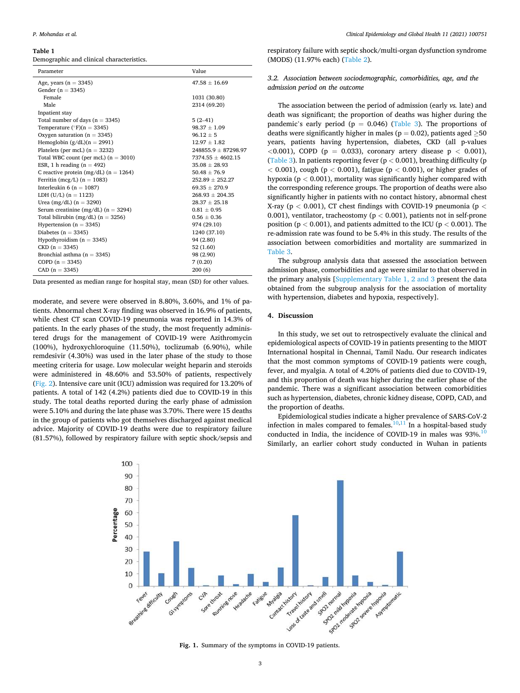#### <span id="page-2-0"></span>**Table 1**

Demographic and clinical characteristics.

| Parameter                                 | Value                   |  |  |  |
|-------------------------------------------|-------------------------|--|--|--|
| Age, years $(n = 3345)$                   | $47.58 + 16.69$         |  |  |  |
| Gender ( $n = 3345$ )                     |                         |  |  |  |
| Female                                    | 1031 (30.80)            |  |  |  |
| Male                                      | 2314 (69.20)            |  |  |  |
| Inpatient stay                            |                         |  |  |  |
| Total number of days $(n = 3345)$         | $5(2-41)$               |  |  |  |
| Temperature ( $\degree$ F)(n = 3345)      | $98.37 + 1.09$          |  |  |  |
| Oxygen saturation ( $n = 3345$ )          | $96.12 \pm 5$           |  |  |  |
| Hemoglobin $(g/dL)(n = 2991)$             | $12.97 \pm 1.82$        |  |  |  |
| Platelets (per mcL) $(n = 3232)$          | $248855.9 \pm 87298.97$ |  |  |  |
| Total WBC count (per mcL) $(n = 3010)$    | $7374.55 \pm 4602.15$   |  |  |  |
| ESR, 1 h reading $(n = 492)$              | $35.08 \pm 28.93$       |  |  |  |
| C reactive protein (mg/dL) ( $n = 1264$ ) | $50.48 + 76.9$          |  |  |  |
| Ferritin (mcg/L) ( $n = 1083$ )           | $252.89 \pm 252.27$     |  |  |  |
| Interleukin 6 ( $n = 1087$ )              | $69.35 \pm 270.9$       |  |  |  |
| LDH $(U/L)$ (n = 1123)                    | $268.93 + 204.35$       |  |  |  |
| Urea (mg/dL) $(n = 3290)$                 | $28.37 \pm 25.18$       |  |  |  |
| Serum creatinine (mg/dL) ( $n = 3294$ )   | $0.81 \pm 0.95$         |  |  |  |
| Total bilirubin (mg/dL) ( $n = 3256$ )    | $0.56 + 0.36$           |  |  |  |
| Hypertension ( $n = 3345$ )               | 974 (29.10)             |  |  |  |
| Diabetes ( $n = 3345$ )                   | 1240 (37.10)            |  |  |  |
| Hypothyroidism $(n = 3345)$               | 94 (2.80)               |  |  |  |
| $CKD(n = 3345)$                           | 52(1.60)                |  |  |  |
| Bronchial asthma $(n = 3345)$             | 98 (2.90)               |  |  |  |
| COPD $(n = 3345)$                         | 7(0.20)                 |  |  |  |
| $CAD (n = 3345)$                          | 200(6)                  |  |  |  |

Data presented as median range for hospital stay, mean (SD) for other values.

moderate, and severe were observed in 8.80%, 3.60%, and 1% of patients. Abnormal chest X-ray finding was observed in 16.9% of patients, while chest CT scan COVID-19 pneumonia was reported in 14.3% of patients. In the early phases of the study, the most frequently administered drugs for the management of COVID-19 were Azithromycin (100%), hydroxychloroquine (11.50%), toclizumab (6.90%), while remdesivir (4.30%) was used in the later phase of the study to those meeting criteria for usage. Low molecular weight heparin and steroids were administered in 48.60% and 53.50% of patients, respectively ([Fig. 2](#page-3-0)). Intensive care unit (ICU) admission was required for 13.20% of patients. A total of 142 (4.2%) patients died due to COVID-19 in this study. The total deaths reported during the early phase of admission were 5.10% and during the late phase was 3.70%. There were 15 deaths in the group of patients who got themselves discharged against medical advice. Majority of COVID-19 deaths were due to respiratory failure (81.57%), followed by respiratory failure with septic shock/sepsis and

respiratory failure with septic shock/multi-organ dysfunction syndrome (MODS) (11.97% each) ([Table 2\)](#page-3-0).

*3.2. Association between sociodemographic, comorbidities, age, and the admission period on the outcome* 

The association between the period of admission (early *vs.* late) and death was significant; the proportion of deaths was higher during the pandemic's early period ( $p = 0.046$ ) [\(Table 3](#page-4-0)). The proportions of deaths were significantly higher in males ( $p = 0.02$ ), patients aged  $\geq 50$ years, patients having hypertension, diabetes, CKD (all p-values *<*0.001), COPD (p = 0.033), coronary artery disease p *<* 0.001), ([Table 3\)](#page-4-0). In patients reporting fever (p *<* 0.001), breathing difficulty (p *<* 0.001), cough (p *<* 0.001), fatigue (p *<* 0.001), or higher grades of hypoxia (p *<* 0.001), mortality was significantly higher compared with the corresponding reference groups. The proportion of deaths were also significantly higher in patients with no contact history, abnormal chest X-ray (p *<* 0.001), CT chest findings with COVID-19 pneumonia (p *<* 0.001), ventilator, tracheostomy (p *<* 0.001), patients not in self-prone position (p *<* 0.001), and patients admitted to the ICU (p *<* 0.001). The re-admission rate was found to be 5.4% in this study. The results of the association between comorbidities and mortality are summarized in [Table 3](#page-4-0).

The subgroup analysis data that assessed the association between admission phase, comorbidities and age were similar to that observed in the primary analysis [Supplementary Table 1, 2 and 3 present the data obtained from the subgroup analysis for the association of mortality with hypertension, diabetes and hypoxia, respectively].

#### **4. Discussion**

In this study, we set out to retrospectively evaluate the clinical and epidemiological aspects of COVID-19 in patients presenting to the MIOT International hospital in Chennai, Tamil Nadu. Our research indicates that the most common symptoms of COVID-19 patients were cough, fever, and myalgia. A total of 4.20% of patients died due to COVID-19, and this proportion of death was higher during the earlier phase of the pandemic. There was a significant association between comorbidities such as hypertension, diabetes, chronic kidney disease, COPD, CAD, and the proportion of deaths.

Epidemiological studies indicate a higher prevalence of SARS-CoV-2 infection in males compared to females. $10,11$  In a hospital-based study conducted in India, the incidence of COVID-19 in males was  $93\%$ .<sup>1</sup> Similarly, an earlier cohort study conducted in Wuhan in patients



**Fig. 1.** Summary of the symptoms in COVID-19 patients.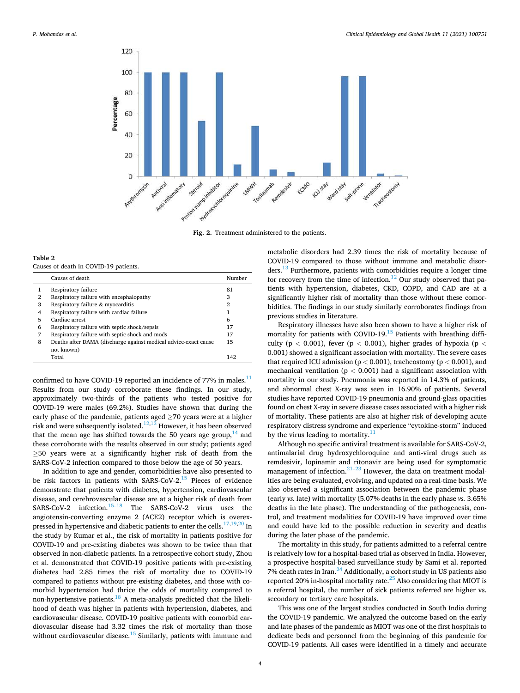<span id="page-3-0"></span>

**Fig. 2.** Treatment administered to the patients.

**Table 2**  Causes of death in COVID-19 patients.

|   | Causes of death                                                 | Number |
|---|-----------------------------------------------------------------|--------|
|   | Respiratory failure                                             | 81     |
| 2 | Respiratory failure with encephalopathy                         | 3      |
| 3 | Respiratory failure & myocarditis                               | 2      |
| 4 | Respiratory failure with cardiac failure                        | 1      |
| 5 | Cardiac arrest                                                  | 6      |
| 6 | Respiratory failure with septic shock/sepsis                    | 17     |
| 7 | Respiratory failure with septic shock and mods                  | 17     |
| 8 | Deaths after DAMA (discharge against medical advice-exact cause | 15     |
|   | not known)                                                      |        |
|   | Total                                                           | 142    |

confirmed to have COVID-19 reported an incidence of 77% in males.<sup>11</sup> Results from our study corroborate these findings. In our study, approximately two-thirds of the patients who tested positive for COVID-19 were males (69.2%). Studies have shown that during the early phase of the pandemic, patients aged  $\geq$ 70 years were at a higher risk and were subsequently isolated. $12,13$  However, it has been observed that the mean age has shifted towards the 50 years age group,  $14$  and these corroborate with the results observed in our study; patients aged ≥50 years were at a significantly higher risk of death from the SARS-CoV-2 infection compared to those below the age of 50 years.

In addition to age and gender, comorbidities have also presented to be risk factors in patients with SARS-CoV-2. $^{15}$  Pieces of evidence demonstrate that patients with diabetes, hypertension, cardiovascular disease, and cerebrovascular disease are at a higher risk of death from SARS-CoV-2 infection.<sup>15–18</sup> The SARS-CoV-2 virus uses the angiotensin-converting enzyme 2 (ACE2) receptor which is overexpressed in hypertensive and diabetic patients to enter the cells. $17,19,20$  In the study by Kumar et al., the risk of mortality in patients positive for COVID-19 and pre-existing diabetes was shown to be twice than that observed in non-diabetic patients. In a retrospective cohort study, Zhou et al. demonstrated that COVID-19 positive patients with pre-existing diabetes had 2.85 times the risk of mortality due to COVID-19 compared to patients without pre-existing diabetes, and those with comorbid hypertension had thrice the odds of mortality compared to non-hypertensive patients.[18 A meta-analysis predicted that the likeli](#page-5-0)hood of death was higher in patients with hypertension, diabetes, and cardiovascular disease. COVID-19 positive patients with comorbid cardiovascular disease had 3.32 times the risk of mortality than those without cardiovascular disease.<sup>15</sup> Similarly, patients with immune and metabolic disorders had 2.39 times the risk of mortality because of COVID-19 compared to those without immune and metabolic disorders.[13 Furthermore, patients with comorbidities require a longer time](#page-5-0)  for recovery from the time of infection.<sup>12</sup> Our study observed that patients with hypertension, diabetes, CKD, COPD, and CAD are at a significantly higher risk of mortality than those without these comorbidities. The findings in our study similarly corroborates findings from previous studies in literature.

Respiratory illnesses have also been shown to have a higher risk of mortality for patients with COVID-19.<sup>15</sup> Patients with breathing difficulty (p *<* 0.001), fever (p *<* 0.001), higher grades of hypoxia (p *<* 0.001) showed a significant association with mortality. The severe cases that required ICU admission (p *<* 0.001), tracheostomy (p *<* 0.001), and mechanical ventilation (p *<* 0.001) had a significant association with mortality in our study. Pneumonia was reported in 14.3% of patients, and abnormal chest X-ray was seen in 16.90% of patients. Several studies have reported COVID-19 pneumonia and ground-glass opacities found on chest X-ray in severe disease cases associated with a higher risk of mortality. These patients are also at higher risk of developing acute respiratory distress syndrome and experience "cytokine-storm" induced by the virus leading to mortality. $\frac{1}{1}$ 

Although no specific antiviral treatment is available for SARS-CoV-2, antimalarial drug hydroxychloroquine and anti-viral drugs such as remdesivir, lopinamir and ritonavir are being used for symptomatic management of infection. $21-23$  However, the data on treatment modalities are being evaluated, evolving, and updated on a real-time basis. We also observed a significant association between the pandemic phase (early *vs.* late) with mortality (5.07% deaths in the early phase *vs.* 3.65% deaths in the late phase). The understanding of the pathogenesis, control, and treatment modalities for COVID-19 have improved over time and could have led to the possible reduction in severity and deaths during the later phase of the pandemic.

The mortality in this study, for patients admitted to a referral centre is relatively low for a hospital-based trial as observed in India. However, a prospective hospital-based surveillance study by Sami et al. reported 7% death rates in Iran. $^{24}$  Additionally, a cohort study in US patients also reported 20% in-hospital mortality rate.<sup>25</sup> Also considering that MIOT is a referral hospital, the number of sick patients referred are higher vs. secondary or tertiary care hospitals.

This was one of the largest studies conducted in South India during the COVID-19 pandemic. We analyzed the outcome based on the early and late phases of the pandemic as MIOT was one of the first hospitals to dedicate beds and personnel from the beginning of this pandemic for COVID-19 patients. All cases were identified in a timely and accurate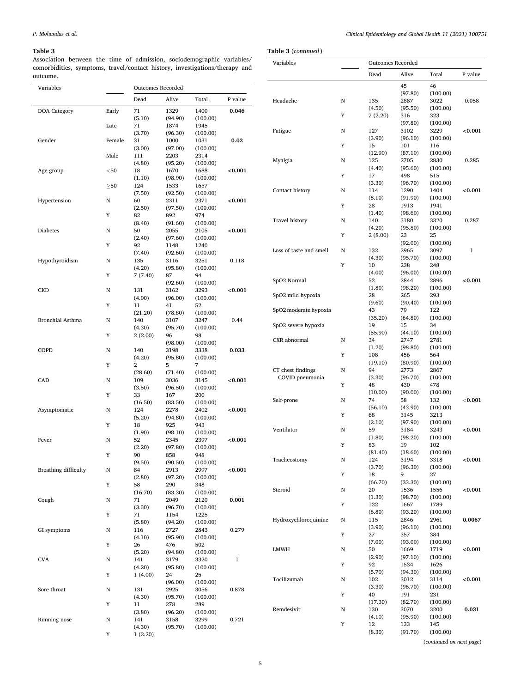## <span id="page-4-0"></span>**Table 3**

Association between the time of admission, sociodemographic variables/ comorbidities, symptoms, travel/contact history, investigations/therapy and outcome.

(5.10)

 $(3.70)$ <br> $31$ 

(3.00)

 $(4.80)$ <br> $18$ 

(1.10)

(7.50)

(2.50)

 $(8.40)$ <br>50

(2.40)

(7.40)

(4.20)

(4.00)

(21.20)

(4.30)

(4.20)

(28.60)

(3.50)

(16.50)

(5.20)

(1.90)

(2.20)

(9.50)

(2.80)

(16.70)

(3.30)

(5.80)

(4.10)

 $(5.20)$ <br>141

(4.20)

(4.30)

(3.80)

(4.30)

 $Y = 1 (4.00)$ 

Y 1 (2.20)

Y 7 (7.40) 87

Late 71

Male 111

 $\geq 50$  124

Y 82

Y 92

Y 11

Y 2

Y 33

Y 18

Y 90

Y 58

Y 71

Y 26

Y 11

 $Y = 2(2.00)$ 

Dead Alive Total P value

1400 (100.00)

1945 (100.00)

1031 (100.00)

2314 (100.00)

1688 (100.00)

1657 (100.00)

2371 (100.00)

974 (100.00)

2105 (100.00)

1240 (100.00)

3251 (100.00)

3293 (100.00)

94 (100.00)

52 (100.00)

3247 (100.00)

98 (100.00)

3338 (100.00)

7 (100.00)

3145 (100.00)

200 (100.00)

2402 (100.00)

943 (100.00)

2397 (100.00)

948 (100.00)

2997 (100.00)

348 (100.00)

2120 (100.00)

1225 (100.00)

2843 (100.00)

502 (100.00)

3320 (100.00)

25 (100.00)

3056 (100.00)

289 (100.00)

3299 (100.00) **0.046** 

**0.02** 

**<0.001** 

**<0.001** 

**<0.001** 

0.118

**<0.001** 

0.44

**0.033** 

**<0.001** 

**<0.001** 

**<0.001** 

**<0.001** 

**0.001** 

0.279

1

0.878

0.721

1329 (94.90)

1874 (96.30)

1000 (97.00)

2203 (95.20)

1670 (98.90)

1533 (92.50)

2311 (97.50)

892 (91.60)

2055 (97.60)

1148 (92.60)

3116 (95.80)

(92.60)

3162 (96.00)

41 (78.80)

3107  $(95.70)$ <br>96

(98.00)

3198 (95.80)

3036 (96.50)

167 (83.50)

2278 (94.80)

925 (98.10)

2345 (97.80)

858 (90.50)

2913 (97.20)

290 (83.30)

2049 (96.70)

1154 (94.20)

2727 (95.90)

476 (94.80)

3179  $(95.80)$ <br>24

(96.00)

2925 (95.70)

278 (96.20)

3158 (95.70)

5 (71.40)

Variables Outcomes Recorded

DOA Category Early 71

Gender Female

Age group  $<$ 50

 $\begin{picture}(180,170) \put(0,0){\dashbox{0.5}(100,0){ }} \thicklines \put(10,0){\dashbox{0.5}(100,0){ }} \thicklines \put(10,0){\dashbox{0.5}(100,0){ }} \thicklines \put(10,0){\dashbox{0.5}(100,0){ }} \thicklines \put(10,0){\dashbox{0.5}(100,0){ }} \thicklines \put(10,0){\dashbox{0.5}(100,0){ }} \thicklines \put(10,0){\dashbox{0.5}(100,0){ }} \thicklines \put(10,0){\dashbox{0.5}(100$ 

Hypothyroidism N

Hypertension N 60

CKD N 131

Bronchial Asthma N 140

COPD N 140

CAD N 109

Asymptomatic N 124

Fever N 52

Breathing difficulty N 84

Cough N 71

GI symptoms N 116

CVA N 141

Sore throat N 131

Running nose N 141

| Variables               |   | <b>Outcomes Recorded</b> |                 |                  |            |
|-------------------------|---|--------------------------|-----------------|------------------|------------|
|                         |   | Dead                     | Alive           | Total            | P value    |
|                         |   |                          | 45              | 46               |            |
|                         |   |                          | (97.80)         | (100.00)         |            |
| Headache                | N | 135                      | 2887            | 3022             | 0.058      |
|                         | Y | (4.50)                   | (95.50)         | (100.00)         |            |
|                         |   | 7(2.20)                  | 316<br>(97.80)  | 323<br>(100.00)  |            |
| Fatigue                 | N | 127                      | 3102            | 3229             | < 0.001    |
|                         |   | (3.90)                   | (96.10)         | (100.00)         |            |
|                         | Y | 15                       | 101             | 116              |            |
|                         |   | (12.90)                  | (87.10)         | (100.00)         |            |
| Myalgia                 | N | 125                      | 2705            | 2830             | 0.285      |
|                         | Y | (4.40)<br>17             | (95.60)<br>498  | (100.00)<br>515  |            |
|                         |   | (3.30)                   | (96.70)         | (100.00)         |            |
| Contact history         | N | 114                      | 1290            | 1404             | < 0.001    |
|                         |   | (8.10)                   | (91.90)         | (100.00)         |            |
|                         | Y | 28                       | 1913            | 1941             |            |
|                         |   | (1.40)                   | (98.60)         | (100.00)         |            |
| Travel history          | N | 140                      | 3180            | 3320             | 0.287      |
|                         | Y | (4.20)<br>2(8.00)        | (95.80)<br>23   | (100.00)<br>25   |            |
|                         |   |                          | (92.00)         | (100.00)         |            |
| Loss of taste and smell | N | 132                      | 2965            | 3097             | 1          |
|                         |   | (4.30)                   | (95.70)         | (100.00)         |            |
|                         | Y | 10                       | 238             | 248              |            |
|                         |   | (4.00)                   | (96.00)         | (100.00)         |            |
| SpO2 Normal             |   | 52<br>(1.80)             | 2844<br>(98.20) | 2896<br>(100.00) | ${<}0.001$ |
| SpO2 mild hypoxia       |   | 28                       | 265             | 293              |            |
|                         |   | (9.60)                   | (90.40)         | (100.00)         |            |
| SpO2 moderate hypoxia   |   | 43                       | 79              | 122              |            |
|                         |   | (35.20)                  | (64.80)         | (100.00)         |            |
| SpO2 severe hypoxia     |   | 19                       | 15              | 34               |            |
| CXR abnormal            | N | (55.90)<br>34            | (44.10)<br>2747 | (100.00)<br>2781 |            |
|                         |   | (1.20)                   | (98.80)         | (100.00)         |            |
|                         | Y | 108                      | 456             | 564              |            |
|                         |   | (19.10)                  | (80.90)         | (100.00)         |            |
| CT chest findings       | N | 94                       | 2773            | 2867             |            |
| COVID pneumonia         |   | (3.30)                   | (96.70)         | (100.00)         |            |
|                         | Y | 48                       | 430             | 478              |            |
| Self-prone              | N | (10.00)<br>74            | (90.00)<br>58   | (100.00)<br>132  | $<$ 0.001  |
|                         |   | (56.10)                  | (43.90)         | (100.00)         |            |
|                         | Y | 68                       | 3145            | 3213             |            |
|                         |   | (2.10)                   | (97.90)         | (100.00)         |            |
| Ventilator              | N | 59                       | 3184            | 3243             | < 0.001    |
|                         |   | (1.80)                   | (98.20)         | (100.00)         |            |
|                         | Y | 83                       | 19              | 102              |            |
| Tracheostomy            | N | (81.40)<br>124           | (18.60)<br>3194 | (100.00)<br>3318 | < 0.001    |
|                         |   | (3.70)                   | (96.30)         | (100.00)         |            |
|                         | Y | 18                       | 9               | 27               |            |
|                         |   | (66.70)                  | (33.30)         | (100.00)         |            |
| Steroid                 | Ν | 20                       | 1536            | 1556             | < 0.001    |
|                         |   | (1.30)                   | (98.70)         | (100.00)         |            |
|                         | Y | 122<br>(6.80)            | 1667<br>(93.20) | 1789<br>(100.00) |            |
| Hydroxychloroquinine    | Ν | 115                      | 2846            | 2961             | 0.0067     |
|                         |   | (3.90)                   | (96.10)         | (100.00)         |            |
|                         | Y | 27                       | 357             | 384              |            |
|                         |   | (7.00)                   | (93.00)         | (100.00)         |            |
| LMWH                    | Ν | 50                       | 1669            | 1719             | < 0.001    |
|                         |   | (2.90)                   | (97.10)         | (100.00)         |            |
|                         | Y | 92<br>(5.70)             | 1534<br>(94.30) | 1626<br>(100.00) |            |
| Tocilizumab             | N | 102                      | 3012            | 3114             | < 0.001    |
|                         |   | (3.30)                   | (96.70)         | (100.00)         |            |
|                         | Y | 40                       | 191             | 231              |            |
|                         |   | (17.30)                  | (82.70)         | (100.00)         |            |
| Remdesivir              | N | 130                      | 3070            | 3200             | 0.031      |
|                         |   | (4.10)                   | (95.90)         | (100.00)         |            |
|                         | Y | 12                       | 133             | 145              |            |
|                         |   | (8.30)                   | (91.70)         | (100.00)         |            |

(*continued on next page*)